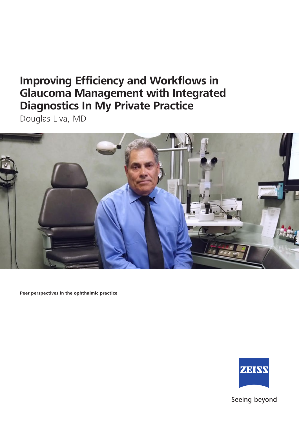Douglas Liva, MD



**Peer perspectives in the ophthalmic practice**



Seeing beyond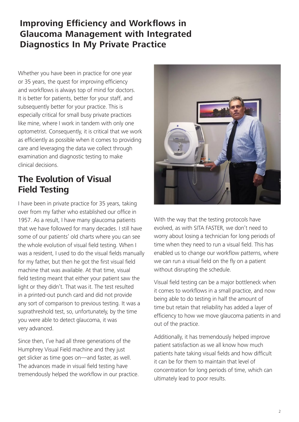Whether you have been in practice for one year or 35 years, the quest for improving efficiency and workflows is always top of mind for doctors. It is better for patients, better for your staff, and subsequently better for your practice. This is especially critical for small busy private practices like mine, where I work in tandem with only one optometrist. Consequently, it is critical that we work as efficiently as possible when it comes to providing care and leveraging the data we collect through examination and diagnostic testing to make clinical decisions.

## **The Evolution of Visual Field Testing**

I have been in private practice for 35 years, taking over from my father who established our office in 1957. As a result, I have many glaucoma patients that we have followed for many decades. I still have some of our patients' old charts where you can see the whole evolution of visual field testing. When I was a resident, I used to do the visual fields manually for my father, but then he got the first visual field machine that was available. At that time, visual field testing meant that either your patient saw the light or they didn't. That was it. The test resulted in a printed-out punch card and did not provide any sort of comparison to previous testing. It was a suprathreshold test, so, unfortunately, by the time you were able to detect glaucoma, it was very advanced.

Since then, I've had all three generations of the Humphrey Visual Field machine and they just get slicker as time goes on—and faster, as well. The advances made in visual field testing have tremendously helped the workflow in our practice.



With the way that the testing protocols have evolved, as with SITA FASTER, we don't need to worry about losing a technician for long periods of time when they need to run a visual field. This has enabled us to change our workflow patterns, where we can run a visual field on the fly on a patient without disrupting the schedule.

Visual field testing can be a major bottleneck when it comes to workflows in a small practice, and now being able to do testing in half the amount of time but retain that reliability has added a layer of efficiency to how we move glaucoma patients in and out of the practice.

Additionally, it has tremendously helped improve patient satisfaction as we all know how much patients hate taking visual fields and how difficult it can be for them to maintain that level of concentration for long periods of time, which can ultimately lead to poor results.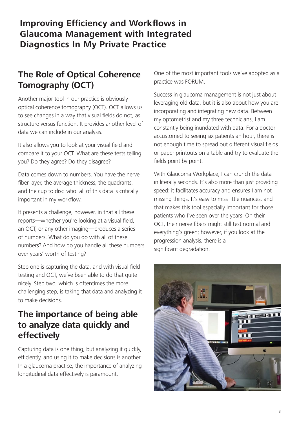# **The Role of Optical Coherence Tomography (OCT)**

Another major tool in our practice is obviously optical coherence tomography (OCT). OCT allows us to see changes in a way that visual fields do not, as structure versus function. It provides another level of data we can include in our analysis.

It also allows you to look at your visual field and compare it to your OCT. What are these tests telling you? Do they agree? Do they disagree?

Data comes down to numbers. You have the nerve fiber layer, the average thickness, the quadrants, and the cup to disc ratio: all of this data is critically important in my workflow.

It presents a challenge, however, in that all these reports—whether you're looking at a visual field, an OCT, or any other imaging—produces a series of numbers. What do you do with all of these numbers? And how do you handle all these numbers over years' worth of testing?

Step one is capturing the data, and with visual field testing and OCT, we've been able to do that quite nicely. Step two, which is oftentimes the more challenging step, is taking that data and analyzing it to make decisions.

# **The importance of being able to analyze data quickly and effectively**

Capturing data is one thing, but analyzing it quickly, efficiently, and using it to make decisions is another. In a glaucoma practice, the importance of analyzing longitudinal data effectively is paramount.

One of the most important tools we've adopted as a practice was FORUM.

Success in glaucoma management is not just about leveraging old data, but it is also about how you are incorporating and integrating new data. Between my optometrist and my three technicians, I am constantly being inundated with data. For a doctor accustomed to seeing six patients an hour, there is not enough time to spread out different visual fields or paper printouts on a table and try to evaluate the fields point by point.

With Glaucoma Workplace, I can crunch the data in literally seconds. It's also more than just providing speed: it facilitates accuracy and ensures I am not missing things. It's easy to miss little nuances, and that makes this tool especially important for those patients who I've seen over the years. On their OCT, their nerve fibers might still test normal and everything's green; however, if you look at the progression analysis, there is a significant degradation.

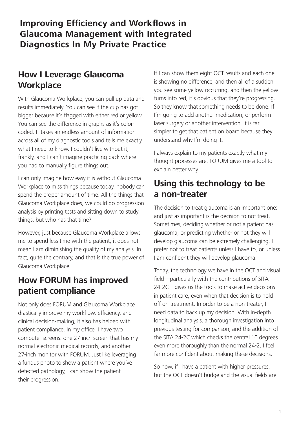#### **How I Leverage Glaucoma Workplace**

With Glaucoma Workplace, you can pull up data and results immediately. You can see if the cup has got bigger because it's flagged with either red or yellow. You can see the difference in graphs as it's colorcoded. It takes an endless amount of information across all of my diagnostic tools and tells me exactly what I need to know. I couldn't live without it, frankly, and I can't imagine practicing back where you had to manually figure things out.

I can only imagine how easy it is without Glaucoma Workplace to miss things because today, nobody can spend the proper amount of time. All the things that Glaucoma Workplace does, we could do progression analysis by printing tests and sitting down to study things, but who has that time?

However, just because Glaucoma Workplace allows me to spend less time with the patient, it does not mean I am diminishing the quality of my analysis. In fact, quite the contrary, and that is the true power of Glaucoma Workplace.

#### **How FORUM has improved patient compliance**

Not only does FORUM and Glaucoma Workplace drastically improve my workflow, efficiency, and clinical decision-making, it also has helped with patient compliance. In my office, I have two computer screens: one 27-inch screen that has my normal electronic medical records, and another 27-inch monitor with FORUM. Just like leveraging a fundus photo to show a patient where you've detected pathology, I can show the patient their progression.

If I can show them eight OCT results and each one is showing no difference, and then all of a sudden you see some yellow occurring, and then the yellow turns into red, it's obvious that they're progressing. So they know that something needs to be done. If I'm going to add another medication, or perform laser surgery or another intervention, it is far simpler to get that patient on board because they understand why I'm doing it.

I always explain to my patients exactly what my thought processes are. FORUM gives me a tool to explain better why.

#### **Using this technology to be a non-treater**

The decision to treat glaucoma is an important one: and just as important is the decision to not treat. Sometimes, deciding whether or not a patient has glaucoma, or predicting whether or not they will develop glaucoma can be extremely challenging. I prefer not to treat patients unless I have to, or unless I am confident they will develop glaucoma.

Today, the technology we have in the OCT and visual field—particularly with the contributions of SITA 24-2C—gives us the tools to make active decisions in patient care, even when that decision is to hold off on treatment. In order to be a non-treater, I need data to back up my decision. With in-depth longitudinal analysis, a thorough investigation into previous testing for comparison, and the addition of the SITA 24-2C which checks the central 10 degrees even more thoroughly than the normal 24-2, I feel far more confident about making these decisions.

So now, if I have a patient with higher pressures, but the OCT doesn't budge and the visual fields are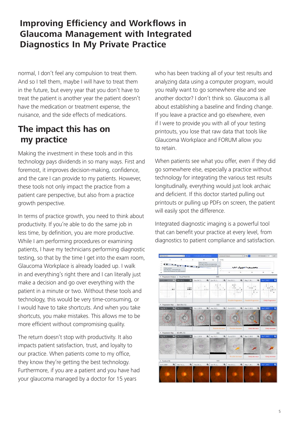normal, I don't feel any compulsion to treat them. And so I tell them, maybe I will have to treat them in the future, but every year that you don't have to treat the patient is another year the patient doesn't have the medication or treatment expense, the nuisance, and the side effects of medications.

#### **The impact this has on my practice**

Making the investment in these tools and in this technology pays dividends in so many ways. First and foremost, it improves decision-making, confidence, and the care I can provide to my patients. However, these tools not only impact the practice from a patient care perspective, but also from a practice growth perspective.

In terms of practice growth, you need to think about productivity. If you're able to do the same job in less time, by definition, you are more productive. While I am performing procedures or examining patients, I have my technicians performing diagnostic testing, so that by the time I get into the exam room, Glaucoma Workplace is already loaded up. I walk in and everything's right there and I can literally just make a decision and go over everything with the patient in a minute or two. Without these tools and technology, this would be very time-consuming, or I would have to take shortcuts. And when you take shortcuts, you make mistakes. This allows me to be more efficient without compromising quality.

The return doesn't stop with productivity. It also impacts patient satisfaction, trust, and loyalty to our practice. When patients come to my office, they know they're getting the best technology. Furthermore, if you are a patient and you have had your glaucoma managed by a doctor for 15 years

who has been tracking all of your test results and analyzing data using a computer program, would you really want to go somewhere else and see another doctor? I don't think so. Glaucoma is all about establishing a baseline and finding change. If you leave a practice and go elsewhere, even if I were to provide you with all of your testing printouts, you lose that raw data that tools like Glaucoma Workplace and FORUM allow you to retain.

When patients see what you offer, even if they did go somewhere else, especially a practice without technology for integrating the various test results longitudinally, everything would just look archaic and deficient. If this doctor started pulling out printouts or pulling up PDFs on screen, the patient will easily spot the difference.

Integrated diagnostic imaging is a powerful tool that can benefit your practice at every level, from diagnostics to patient compliance and satisfaction.